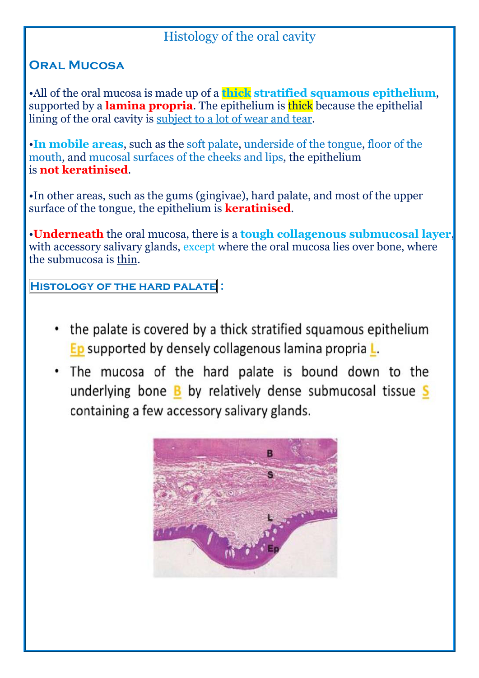# Histology of the oral cavity

## **Oral Mucosa**

•All of the oral mucosa is made up of a **thick stratified squamous epithelium**, supported by a **lamina propria**. The epithelium is thick because the epithelial lining of the oral cavity is subject to a lot of wear and tear.

•**In mobile areas**, such as the soft palate, underside of the tongue, floor of the mouth, and mucosal surfaces of the cheeks and lips, the epithelium is **not keratinised**.

•In other areas, such as the gums (gingivae), hard palate, and most of the upper surface of the tongue, the epithelium is **keratinised**.

•**Underneath** the oral mucosa, there isa **tough collagenous submucosal layer**, with accessory salivary glands, except where the oral mucosa lies over bone, where the submucosa is thin.

**Histology of the hard palate :**

- the palate is covered by a thick stratified squamous epithelium Ep supported by densely collagenous lamina propria L.
- . The mucosa of the hard palate is bound down to the underlying bone **B** by relatively dense submucosal tissue S containing a few accessory salivary glands.

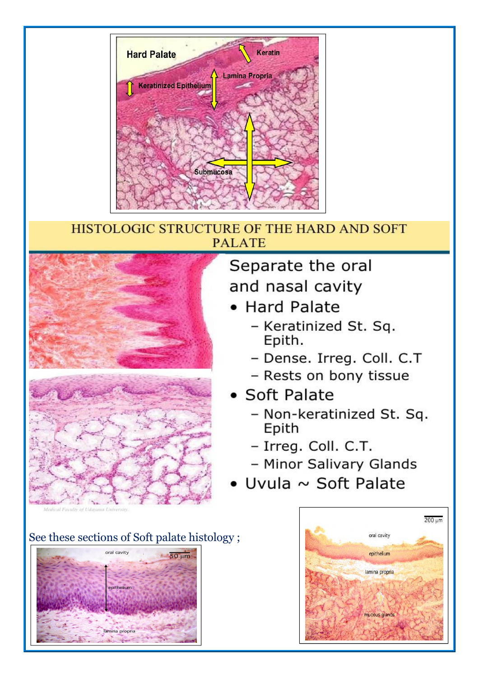

### HISTOLOGIC STRUCTURE OF THE HARD AND SOFT **PALATE**



# Separate the oral and nasal cavity

- Hard Palate
	- Keratinized St. Sq. Epith.
	- Dense. Irreg. Coll. C.T
	- Rests on bony tissue
- Soft Palate
	- Non-keratinized St. Sq. Epith
	- Irreg. Coll. C.T.
	- Minor Salivary Glands
- Uvula  $\sim$  Soft Palate

## See these sections of Soft palate histology;



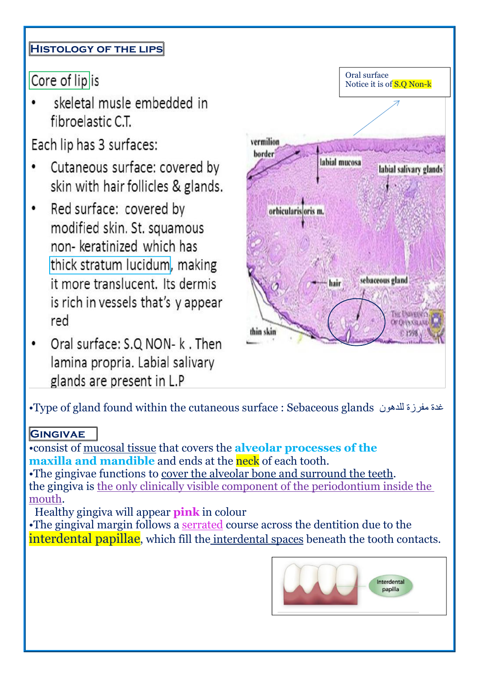## **Histology of the lips**

Core of lip is

skeletal musle embedded in fibroelastic C.T.

Each lip has 3 surfaces:

- Cutaneous surface: covered by skin with hair follicles & glands.
- Red surface: covered by  $\bullet$ modified skin. St. squamous non- keratinized which has thick stratum lucidum, making it more translucent. Its dermis is rich in vessels that's y appear red
- Oral surface: S.Q NON- k. Then  $\bullet$ lamina propria. Labial salivary glands are present in L.P



•Type of gland found within the cutaneous surface : Sebaceous glands فناد فلادهون

#### **GINGIVAE**

•consist of mucosal tissue that covers the **alveolar processes of the maxilla** and **mandible** and ends at the neck of each tooth. •The gingivae functions to cover the alveolar bone and surround the teeth. the gingiva is the only clinically visible component of the periodontium inside the mouth.

Healthy gingiva will appear **pink** in colour

•The gingival margin follows a serrated course across the dentition due to the interdental papillae, which fill the interdental spaces beneath the tooth contacts.

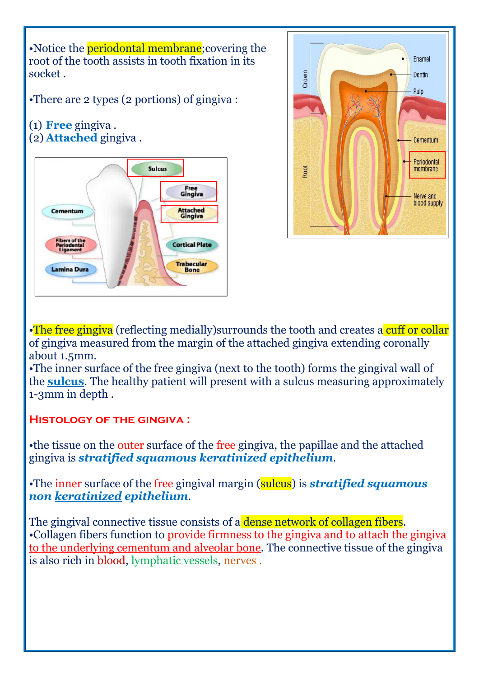•Notice the periodontal membrane;covering the root of the tooth assists in tooth fixation in its socket .

•There are 2 types (2 portions) of gingiva :

#### (1) **Free** gingiva . (2) **Attached** gingiva .





•The free gingiva (reflecting medially)surrounds the tooth and creates a cuff or collar of gingiva measured from the margin of the attached gingiva extending coronally about 1.5mm.

•The inner surface of the free gingiva (next to the tooth) forms the gingival wall of the **sulcus**. The healthy patient will present with a sulcus measuring approximately 1-3mm in depth .

 $HISTOLOGY OF THE GINGIVA$  :

•the tissue on the outer surface of the free gingiva, the papillae and the attached gingiva is *stratified squamous keratinized epithelium*.

•The inner surface of the free gingival margin (sulcus) is *stratified squamous non keratinized epithelium*.

The gingival connective tissue consists of a **dense network of collagen fibers.** •Collagen fibers function to provide firmness to the gingiva and to attach the gingiva to the underlying cementum and alveolar bone.The connective tissue of the gingiva is also rich in blood, lymphatic vessels, nerves .